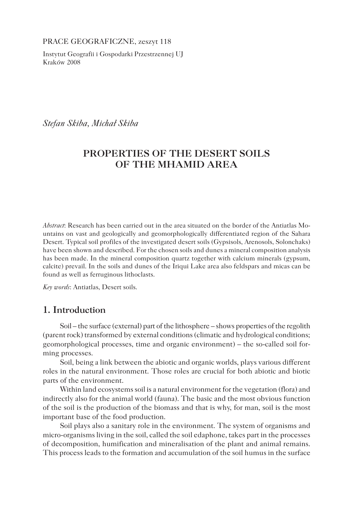PRACE GEOGRAFICZNE, zeszyt 118

Instytut Geografii i Gospodarki Przestrzennej UJ Kraków 2008

*Stefan Skiba, Michał Skiba* 

# **PROPERTIES OF THE DESERT SOILS OF THE MHAMID AREA**

*Abstract*: Research has been carried out in the area situated on the border of the Antiatlas Mountains on vast and geologically and geomorphologically differentiated region of the Sahara Desert. Typical soil profiles of the investigated desert soils (Gypsisols, Arenosols, Solonchaks) have been shown and described. For the chosen soils and dunes a mineral composition analysis has been made. In the mineral composition quartz together with calcium minerals (gypsum, calcite) prevail. In the soils and dunes of the Iriqui Lake area also feldspars and micas can be found as well as ferruginous lithoclasts.

*Key words*: Antiatlas, Desert soils.

## **1. Introduction**

Soil – the surface (external) part of the lithosphere – shows properties of the regolith (parent rock) transformed by external conditions (climatic and hydrological conditions; geomorphological processes, time and organic environment) – the so-called soil forming processes.

Soil, being a link between the abiotic and organic worlds, plays various different roles in the natural environment. Those roles are crucial for both abiotic and biotic parts of the environment.

Within land ecosystems soil is a natural environment for the vegetation (flora) and indirectly also for the animal world (fauna). The basic and the most obvious function of the soil is the production of the biomass and that is why, for man, soil is the most important base of the food production.

Soil plays also a sanitary role in the environment. The system of organisms and micro-organisms living in the soil, called the soil edaphone, takes part in the processes of decomposition, humification and mineralisation of the plant and animal remains. This process leads to the formation and accumulation of the soil humus in the surface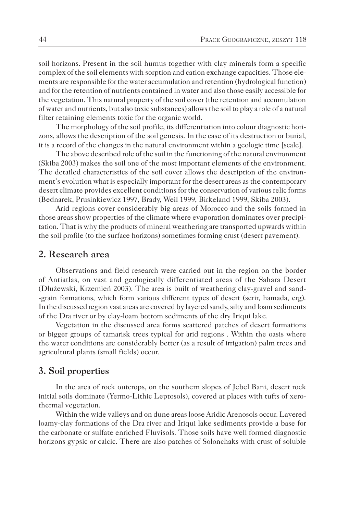soil horizons. Present in the soil humus together with clay minerals form a specific complex of the soil elements with sorption and cation exchange capacities. Those elements are responsible for the water accumulation and retention (hydrological function) and for the retention of nutrients contained in water and also those easily accessible for the vegetation. This natural property of the soil cover (the retention and accumulation of water and nutrients, but also toxic substances) allows the soil to play a role of a natural filter retaining elements toxic for the organic world.

The morphology of the soil profile, its differentiation into colour diagnostic horizons, allows the description of the soil genesis. In the case of its destruction or burial, it is a record of the changes in the natural environment within a geologic time [scale].

The above described role of the soil in the functioning of the natural environment (Skiba 2003) makes the soil one of the most important elements of the environment. The detailed characteristics of the soil cover allows the description of the environment's evolution what is especially important for the desert areas as the contemporary desert climate provides excellent conditions for the conservation of various relic forms (Bednarek, Prusinkiewicz 1997, Brady, Weil 1999, Birkeland 1999, Skiba 2003).

Arid regions cover considerably big areas of Morocco and the soils formed in those areas show properties of the climate where evaporation dominates over precipitation. That is why the products of mineral weathering are transported upwards within the soil profile (to the surface horizons) sometimes forming crust (desert pavement).

### **2. Research area**

Observations and field research were carried out in the region on the border of Antiatlas, on vast and geologically differentiated areas of the Sahara Desert (Dłużewski, Krzemień 2003). The area is built of weathering clay-gravel and sand- -grain formations, which form various different types of desert (serir, hamada, erg). In the discussed region vast areas are covered by layered sandy, silty and loam sediments of the Dra river or by clay-loam bottom sediments of the dry Iriqui lake.

Vegetation in the discussed area forms scattered patches of desert formations or bigger groups of tamarisk trees typical for arid regions . Within the oasis where the water conditions are considerably better (as a result of irrigation) palm trees and agricultural plants (small fields) occur.

### **3. Soil properties**

In the area of rock outcrops, on the southern slopes of Jebel Bani, desert rock initial soils dominate (Yermo-Lithic Leptosols), covered at places with tufts of xerothermal vegetation.

Within the wide valleys and on dune areas loose Aridic Arenosols occur. Layered loamy-clay formations of the Dra river and Iriqui lake sediments provide a base for the carbonate or sulfate enriched Fluvisols. Those soils have well formed diagnostic horizons gypsic or calcic. There are also patches of Solonchaks with crust of soluble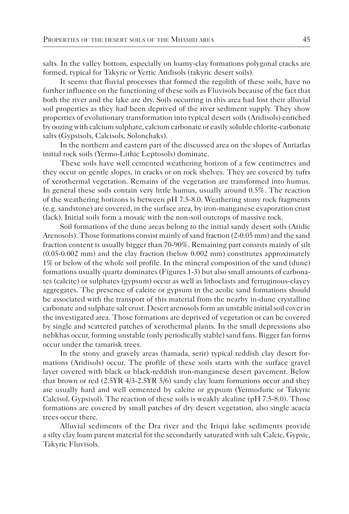salts. In the valley bottom, especially on loamy-clay formations polygonal cracks are formed, typical for Takyric or Vertic Aridisols (takyric desert soils).

It seems that fluvial processes that formed the regolith of these soils, have no further influence on the functioning of these soils as Fluvisols because of the fact that both the river and the lake are dry. Soils occurring in this area had lost their alluvial soil properties as they had been deprived of the river sediment supply. They show properties of evolutionary transformation into typical desert soils (Aridisols) enriched by oozing with calcium sulphate, calcium carbonate or easily soluble chlorite-carbonate salts (Gypsisols, Calcisols, Solonchaks).

In the northern and eastern part of the discussed area on the slopes of Antiatlas initial rock soils (Yermo-Lithic Leptosols) dominate.

These soils have well cemented weathering horizon of a few centimetres and they occur on gentle slopes, in cracks or on rock shelves. They are covered by tufts of xerothermal vegetation. Remains of the vegetation are transformed into humus. In general these soils contain very little humus, usually around 0.5%. The reaction of the weathering horizons is between pH 7.5-8.0. Weathering stony rock fragments (e.g. sandstone) are covered, in the surface area, by iron-manganese evaporation crust (lack). Initial soils form a mosaic with the non-soil outcrops of massive rock.

Soil formations of the dune areas belong to the initial sandy desert soils (Aridic Arenosols). Those formations consist mainly of sand fraction (2-0.05 mm) and the sand fraction content is usually bigger than 70-90%. Remaining part consists mainly of silt (0.05-0.002 mm) and the clay fraction (below 0.002 mm) constitutes approximately 1% or below of the whole soil profile. In the mineral composition of the sand (dune) formations usually quartz dominates (Figures 1-3) but also small amounts of carbonates (calcite) or sulphates (gypsum) occur as well as lithoclasts and ferruginous-clayey aggregates. The presence of calcite or gypsum in the aeolic sand formations should be associated with the transport of this material from the nearby in-dune crystalline carbonate and sulphate salt crust. Desert arenosols form an unstable initial soil cover in the investigated area. Those formations are deprived of vegetation or can be covered by single and scattered patches of xerothermal plants. In the small depressions also nebkhas occur, forming unstable (only periodically stable) sand fans. Bigger fan forms occur under the tamarisk trees.

In the stony and gravely areas (hamada, serir) typical reddish clay desert formations (Aridisols) occur. The profile of these soils starts with the surface gravel layer covered with black or black-reddish iron-manganese desert pavement. Below that brown or red (2.5YR 4/3-2.5YR 5/6) sandy clay loam formations occur and they are usually hard and well cemented by calcite or gypsum (Yermoduric or Takyric Calcisol, Gypsisol). The reaction of these soils is weakly alcaline (pH 7.5-8.0). Those formations are covered by small patches of dry desert vegetation, also single acacia trees occur there.

Alluvial sediments of the Dra river and the Iriqui lake sediments provide a silty clay loam parent material for the secondarily saturated with salt Calcic, Gypsic, Takyric Fluvisols.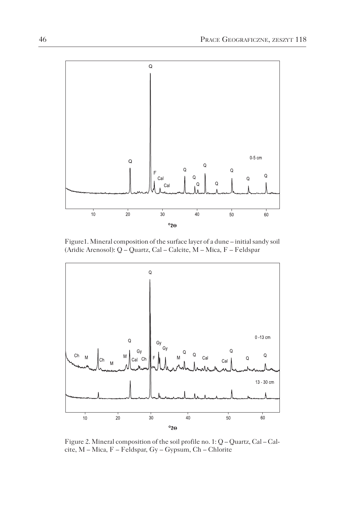

Figure1. Mineral composition of the surface layer of a dune – initial sandy soil (Aridic Arenosol): Q – Quartz, Cal – Calcite, M – Mica, F – Feldspar



Figure 2. Mineral composition of the soil profile no. 1: Q – Quartz, Cal – Calcite, M – Mica, F – Feldspar, Gy – Gypsum, Ch – Chlorite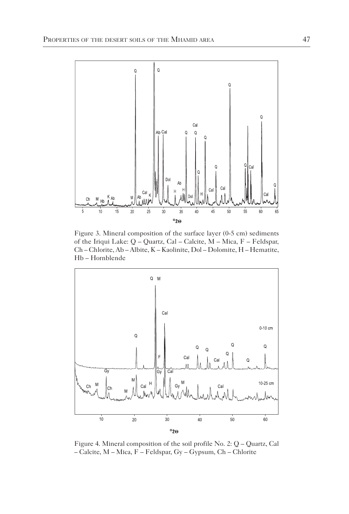

Figure 3. Mineral composition of the surface layer (0-5 cm) sediments of the Iriqui Lake: Q – Quartz, Cal – Calcite, M – Mica, F – Feldspar, Ch – Chlorite, Ab – Albite, K – Kaolinite, Dol – Dolomite, H – Hematite, Hb – Hornblende



Figure 4. Mineral composition of the soil profile No. 2: Q – Quartz, Cal – Calcite, M – Mica, F – Feldspar, Gy – Gypsum, Ch – Chlorite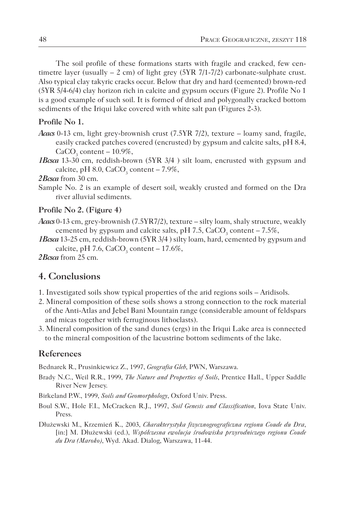The soil profile of these formations starts with fragile and cracked, few centimetre layer (usually  $-2$  cm) of light grey (5YR 7/1-7/2) carbonate-sulphate crust. Also typical clay takyric cracks occur. Below that dry and hard (cemented) brown-red (5YR 5/4-6/4) clay horizon rich in calcite and gypsum occurs (Figure 2). Profile No 1 is a good example of such soil. It is formed of dried and polygonally cracked bottom sediments of the Iriqui lake covered with white salt pan (Figures 2-3).

#### **Profile No 1.**

- *Acacs* 0-13 cm, light grey-brownish crust (7.5YR 7/2), texture loamy sand, fragile, easily cracked patches covered (encrusted) by gypsum and calcite salts, pH 8.4,  $CaCO<sub>3</sub>$  content – 10.9%,
- *1Bcsca* 13-30 cm, reddish-brown (5YR 3/4 ) silt loam, encrusted with gypsum and calcite, pH 8.0,  $CaCO<sub>3</sub>$  content – 7.9%,
- *2Bcsca* from 30 cm.
- Sample No. 2 is an example of desert soil, weakly crusted and formed on the Dra river alluvial sediments.

#### **Profile No 2. (Figure 4)**

- *Acacs* 0-13 cm, grey-brownish (7.5YR7/2), texture silty loam, shaly structure, weakly cemented by gypsum and calcite salts, pH 7.5,  $CaCO<sub>3</sub>$  content – 7.5%,
- *1Bcsca* 13-25 cm, reddish-brown (5YR 3/4 ) silty loam, hard, cemented by gypsum and calcite, pH 7.6,  $CaCO<sub>3</sub>$  content – 17.6%,

*2Bcsca* from 25 cm.

# **4. Conclusions**

- 1. Investigated soils show typical properties of the arid regions soils Aridisols.
- 2. Mineral composition of these soils shows a strong connection to the rock material of the Anti-Atlas and Jebel Bani Mountain range (considerable amount of feldspars and micas together with ferruginous lithoclasts).
- 3. Mineral composition of the sand dunes (ergs) in the Iriqui Lake area is connected to the mineral composition of the lacustrine bottom sediments of the lake.

### **References**

Bednarek R., Prusinkiewicz Z., 1997, *Geografia Gleb*, PWN, Warszawa.

- Brady N.C., Weil R.R., 1999, *The Nature and Properties of Soils*, Prentice Hall., Upper Saddle River New Jersey.
- Birkeland P.W., 1999, *Soils and Geomorphology*, Oxford Univ. Press.
- Boul S.W., Hole F.I., McCracken R.J., 1997, *Soil Genesis and Classification*, Iova State Univ. Press.
- Dłużewski M., Krzemień K., 2003, *Charakterystyka fizycznogeograficzna regionu Coude du Dra*, [in:] M. Dłużewski (ed.), *Współczesna ewolucja środowiska przyrodniczego regionu Coude du Dra (Maroko)*, Wyd. Akad. Dialog, Warszawa, 11-44.